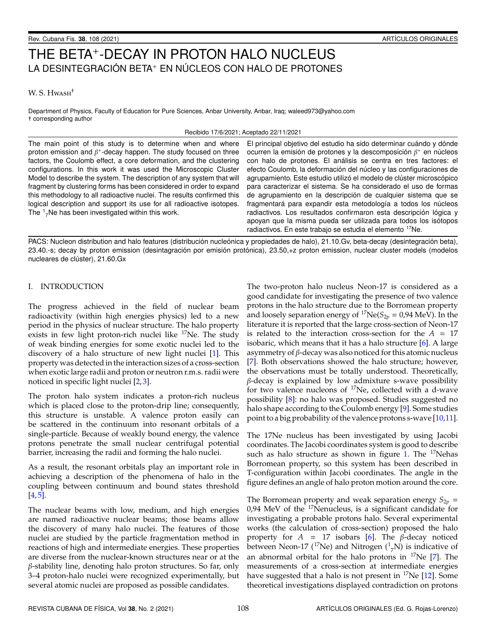# THE BETA<sup>+</sup> -DECAY IN PROTON HALO NUCLEUS LA DESINTEGRACIÓN BETA<sup>+</sup> EN NÚCLEOS CON HALO DE PROTONES

## W. S. Hwash<sup>†</sup>

Department of Physics, Faculty of Education for Pure Sciences, Anbar University, Anbar, Iraq; waleed973@yahoo.com † corresponding author

Recibido 17/6/2021; Aceptado 22/11/2021

The main point of this study is to determine when and where proton emission and  $\beta^+$ -decay happen. The study focused on three factors, the Coulomb effect, a core deformation, and the clustering configurations. In this work it was used the Microscopic Cluster Model to describe the system. The description of any system that will fragment by clustering forms has been considered in order to expand this methodology to all radioactive nuclei. The results confirmed this logical description and support its use for all radioactive isotopes. The  $1/7$ Ne has been investigated within this work.

El principal objetivo del estudio ha sido determinar cuándo y dónde ocurren la emisión de protones y la descomposición  $\beta^+$  en núcleos con halo de protones. El análisis se centra en tres factores: el efecto Coulomb, la deformación del núcleo y las configuraciones de agrupamiento. Este estudio utilizó el modelo de clúster microscópico para caracterizar el sistema. Se ha considerado el uso de formas de agrupamiento en la descripción de cualquier sistema que se fragmentará para expandir esta metodología a todos los núcleos radiactivos. Los resultados confirmaron esta descripción lógica y apoyan que la misma pueda ser utilizada para todos los isótopos radiactivos. En este trabajo se estudia el elemento <sup>17</sup>Ne.

PACS: Nucleon distribution and halo features (distribución nucleónica y propiedades de halo), 21.10.Gv, beta-decay (desintegración beta), 23.40.-s; decay by proton emission (desintagración por emisión protónica), 23.50,+z proton emission, nuclear cluster models (modelos nucleares de clúster), 21.60.Gx

## I. INTRODUCTION

The progress achieved in the field of nuclear beam radioactivity (within high energies physics) led to a new period in the physics of nuclear structure. The halo property exists in few light proton-rich nuclei like  $17$ Ne. The study of weak binding energies for some exotic nuclei led to the discovery of a halo structure of new light nuclei [\[1\]](#page-3-0). This property was detected in the interaction sizes of a cross-section when exotic large radii and proton or neutron r.m.s. radii were noticed in specific light nuclei [\[2,](#page-3-1)[3\]](#page-3-2).

The proton halo system indicates a proton-rich nucleus which is placed close to the proton-drip line; consequently, this structure is unstable. A valence proton easily can be scattered in the continuum into resonant orbitals of a single-particle. Because of weakly bound energy, the valence protons penetrate the small nuclear centrifugal potential barrier, increasing the radii and forming the halo nuclei.

As a result, the resonant orbitals play an important role in achieving a description of the phenomena of halo in the coupling between continuum and bound states threshold  $[4, 5]$  $[4, 5]$  $[4, 5]$ .

The nuclear beams with low, medium, and high energies are named radioactive nuclear beams; those beams allow the discovery of many halo nuclei. The features of those nuclei are studied by the particle fragmentation method in reactions of high and intermediate energies. These properties are diverse from the nuclear-known structures near or at the β-stability line, denoting halo proton structures. So far, only 3–4 proton-halo nuclei were recognized experimentally, but several atomic nuclei are proposed as possible candidates.

The two-proton halo nucleus Neon-17 is considered as a good candidate for investigating the presence of two valence protons in the halo structure due to the Borromean property and loosely separation energy of <sup>17</sup>Ne( $S_{2p}$  = 0,94 MeV). In the literature it is reported that the large cross-section of Neon-17 is related to the interaction cross-section for the  $A = 17$ isobaric, which means that it has a halo structure  $[6]$ . A large asymmetry of  $β$ -decay was also noticed for this atomic nucleus [\[7\]](#page-3-6). Both observations showed the halo structure; however, the observations must be totally understood. Theoretically, β-decay is explained by low admixture s-wave possibility for two valence nucleons of  $17$ Ne, collected with a d-wave possibility [\[8\]](#page-3-7): no halo was proposed. Studies suggested no halo shape according to the Coulomb energy [\[9\]](#page-3-8). Some studies point to a big probability of the valence protons s-wave [\[10](#page-3-9)[,11\]](#page-3-10).

The 17Ne nucleus has been investigated by using Jacobi coordinates. The Jacobi coordinates system is good to describe such as halo structure as shown in figure [1.](#page-1-0) The  $17$ Nehas Borromean property, so this system has been described in T-configuration within Jacobi coordinates. The angle in the figure defines an angle of halo proton motion around the core.

The Borromean property and weak separation energy  $S_{2p}$  =  $0.94$  MeV of the  $17$ Nenucleus, is a significant candidate for investigating a probable protons halo. Several experimental works (the calculation of cross-section) proposed the halo property for  $A = 17$  isobars [\[6\]](#page-3-5). The  $\beta$ -decay noticed between Neon-17 (<sup>17</sup>Ne) and Nitrogen ( $\frac{1}{7}N$ ) is indicative of an abnormal orbital for the halo protons in  $17$ Ne [\[7\]](#page-3-6). The measurements of a cross-section at intermediate energies have suggested that a halo is not present in  $17Ne$  [\[12\]](#page-3-11). Some theoretical investigations displayed contradiction on protons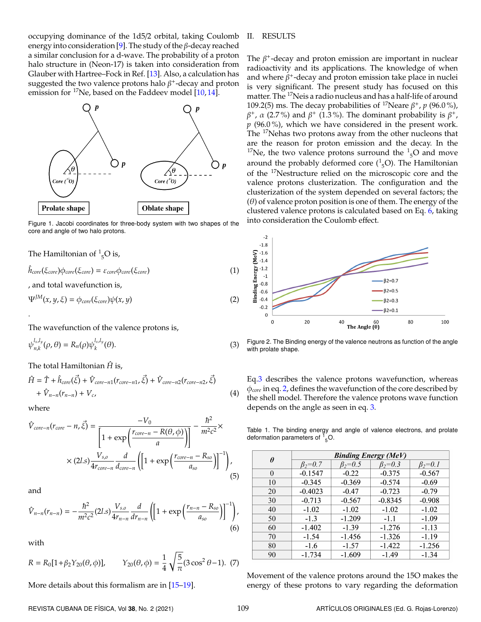occupying dominance of the 1d5/2 orbital, taking Coulomb energy into consideration [\[9\]](#page-3-8). The study of the  $\beta$ -decay reached a similar conclusion for a d-wave. The probability of a proton halo structure in (Neon-17) is taken into consideration from Glauber with Hartree–Fock in Ref. [\[13\]](#page-3-12). Also, a calculation has suggested the two valence protons halo  $\beta^+$ -decay and proton emission for  $17$ Ne, based on the Faddeev model [\[10,](#page-3-9) [14\]](#page-3-13).

<span id="page-1-0"></span>

Figure 1. Jacobi coordinates for three-body system with two shapes of the core and angle of two halo protons.

The Hamiltonian of  $\frac{1}{5}$ O is,

$$
\hat{h}_{core}(\xi_{core})\phi_{core}(\xi_{core}) = \varepsilon_{core}\phi_{core}(\xi_{core})
$$
\n(1)

<span id="page-1-3"></span>, and total wavefunction is,

$$
\Psi^{JM}(x, y, \xi) = \phi_{core}(\xi_{core})\psi(x, y)
$$
\n(2)

The wavefunction of the valence protons is,

$$
\psi_{n,k}^{l_x,l_y}(\rho,\theta) = R_n(\rho)\psi_k^{l_x,l_y}(\theta). \tag{3}
$$

The total Hamiltonian  $\hat{H}$  is,

$$
\hat{H} = \hat{T} + \hat{h}_{core}(\vec{\xi}) + \hat{V}_{core-n1}(r_{core-n1}, \vec{\xi}) + \hat{V}_{core-n2}(r_{core-n2}, \vec{\xi}) \n+ \hat{V}_{n-n}(r_{n-n}) + V_c,
$$
\n(4)

where

.

$$
\hat{V}_{core-n}(r_{core}-n,\vec{\xi}) = \frac{-V_0}{\left[1+\exp\left(\frac{r_{core-n}-R(\theta,\phi)}{a}\right)\right]} - \frac{\hbar^2}{m^2c^2} \times \frac{1}{4r_{core-n}d_{core-n}} \left(1+\exp\left(\frac{r_{core-n}-R_{so}}{a_{so}}\right)\right]^{-1}\right),\tag{5}
$$

<span id="page-1-1"></span>and

$$
\hat{V}_{n-n}(r_{n-n}) = -\frac{\hbar^2}{m^2c^2}(2l.s)\frac{V_{s,o}}{4r_{n-n}}\frac{d}{dr_{n-n}}\left(\left[1+\exp\left(\frac{r_{n-n}-R_{so}}{a_{so}}\right)\right]^{-1}\right),\tag{6}
$$

with

$$
R = R_0[1 + \beta_2 Y_{20}(\theta, \phi)], \qquad Y_{20}(\theta, \phi) = \frac{1}{4} \sqrt{\frac{5}{\pi}} (3 \cos^2 \theta - 1). \tag{7}
$$

More details about this formalism are in [\[15](#page-3-14)[–19\]](#page-3-15).

## II. RESULTS

The  $\beta^+$ -decay and proton emission are important in nuclear radioactivity and its applications. The knowledge of when and where  $\beta^+$ -decay and proton emission take place in nuclei is very significant. The present study has focused on this matter. The <sup>17</sup>Neis a radio nucleus and has a half-life of around 109.2(5) ms. The decay probabilities of <sup>17</sup>Neare  $\beta^+$ ,  $p$  (96.0%),  $\beta^+$ , α (2.7%) and  $\beta^+$  (1.3%). The dominant probability is  $\beta^+$ , *p* (96.0 %), which we have considered in the present work. The <sup>17</sup>Nehas two protons away from the other nucleons that are the reason for proton emission and the decay. In the <sup>17</sup>Ne, the two valence protons surround the  $\frac{1}{5}$ O and move around the probably deformed core  $({}^{1}_{5}O)$ . The Hamiltonian of the <sup>17</sup>Nestructure relied on the microscopic core and the valence protons clusterization. The configuration and the clusterization of the system depended on several factors; the  $(\theta)$  of valence proton position is one of them. The energy of the clustered valence protons is calculated based on Eq. [6,](#page-1-1) taking into consideration the Coulomb effect.

<span id="page-1-4"></span>

<span id="page-1-2"></span>Figure 2. The Binding energy of the valence neutrons as function of the angle with prolate shape.

Eq[.3](#page-1-2) describes the valence protons wavefunction, whereas φ*core* in eq. [2,](#page-1-3) defines the wavefunction of the core described by the shell model. Therefore the valence protons wave function depends on the angle as seen in eq. [3.](#page-1-2)

<span id="page-1-5"></span>Table 1. The binding energy and angle of valence electrons, and prolate deformation parameters of  $1^{\circ}_{5}$ O.

| Ĥ  | <b>Binding Energy (MeV)</b> |                 |                 |                 |  |
|----|-----------------------------|-----------------|-----------------|-----------------|--|
|    | $\beta_2 = 0.7$             | $\beta_2 = 0.5$ | $\beta_2 = 0.3$ | $\beta_2 = 0.1$ |  |
| 0  | $-0.1547$                   | $-0.22$         | $-0.375$        | $-0.567$        |  |
| 10 | $-0.345$                    | $-0.369$        | $-0.574$        | $-0.69$         |  |
| 20 | $-0.4023$                   | $-0.47$         | $-0.723$        | $-0.79$         |  |
| 30 | $-0.713$                    | $-0.567$        | $-0.8345$       | $-0.908$        |  |
| 40 | $-1.02$                     | $-1.02$         | $-1.02$         | $-1.02$         |  |
| 50 | $-1.3$                      | $-1.209$        | $-1.1$          | $-1.09$         |  |
| 60 | $-1.402$                    | $-1.39$         | $-1.276$        | $-1.13$         |  |
| 70 | $-1.54$                     | $-1.456$        | $-1.326$        | $-1.19$         |  |
| 80 | $-1.6$                      | $-1.57$         | $-1.422$        | $-1.256$        |  |
| 90 | $-1.734$                    | $-1.609$        | $-1.49$         | $-1.34$         |  |

Movement of the valence protons around the 15O makes the energy of these protons to vary regarding the deformation

REVISTA CUBANA DE FÍSICA, Vol 38, No. 2 (2021) 109 ARTÍCULOS ORIGINALES (Ed. G. Rojas-Lorenzo)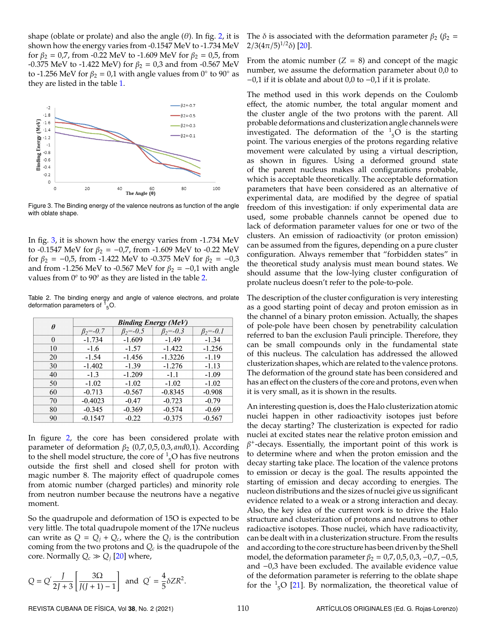shape (oblate or prolate) and also the angle  $(\theta)$ . In fig. [2,](#page-1-4) it is shown how the energy varies from -0.1547 MeV to -1.734 MeV for  $β_2 = 0.7$ , from -0.22 MeV to -1.609 MeV for  $β_2 = 0.5$ , from -0.375 MeV to -1.422 MeV) for  $β_2 = 0.3$  and from -0.567 MeV to -1.256 MeV for  $\beta_2 = 0.1$  with angle values from 0 $\degree$  to 90 $\degree$  as they are listed in the table [1.](#page-1-5)

<span id="page-2-0"></span>

Figure 3. The Binding energy of the valence neutrons as function of the angle with oblate shape.

In fig. [3,](#page-2-0) it is shown how the energy varies from -1.734 MeV to -0.1547 MeV for  $\beta_2 = -0.7$ , from -1.609 MeV to -0.22 MeV for  $\beta_2 = -0.5$ , from -1.422 MeV to -0.375 MeV for  $\beta_2 = -0.3$ and from -1.256 MeV to -0.567 MeV for  $\beta_2 = -0.1$  with angle values from 0<sup>*o*</sup> to 90<sup>*o*</sup> as they are listed in the table [2.](#page-2-1)

<span id="page-2-1"></span>Table 2. The binding energy and angle of valence electrons, and prolate deformation parameters of  $1^{\circ}_{5}$ O.

| Ĥ        | <b>Binding Energy (MeV)</b> |                    |                    |                    |  |
|----------|-----------------------------|--------------------|--------------------|--------------------|--|
|          | $\beta_2 = -0.7$            | $\beta_{2} = -0.5$ | $\beta_{2} = -0.3$ | $\beta_{2} = -0.1$ |  |
| $\Omega$ | $-1.734$                    | $-1.609$           | $-1.49$            | $-1.34$            |  |
| 10       | $-1.6$                      | $-1.57$            | $-1.422$           | $-1.256$           |  |
| 20       | $-1.54$                     | $-1.456$           | $-1.3226$          | $-1.19$            |  |
| 30       | $-1.402$                    | $-1.39$            | $-1.276$           | $-1.13$            |  |
| 40       | $-1.3$                      | $-1.209$           | $-1.1$             | $-1.09$            |  |
| 50       | $-1.02$                     | $-1.02$            | $-1.02$            | $-1.02$            |  |
| 60       | $-0.713$                    | $-0.567$           | $-0.8345$          | $-0.908$           |  |
| 70       | $-0.4023$                   | $-0.47$            | $-0.723$           | $-0.79$            |  |
| 80       | $-0.345$                    | $-0.369$           | $-0.574$           | $-0.69$            |  |
| 90       | $-0.1547$                   | $-0.22$            | $-0.375$           | $-0.567$           |  |

In figure [2,](#page-1-4) the core has been considered prolate with parameter of deformation β<sup>2</sup> (0,7, 0,5, 0,3, *and*0,1). According to the shell model structure, the core of  $\frac{1}{5}$ O has five neutrons outside the first shell and closed shell for proton with magic number 8. The majority effect of quadrupole comes from atomic number (charged particles) and minority role from neutron number because the neutrons have a negative moment.

So the quadrupole and deformation of 15O is expected to be very little. The total quadrupole moment of the 17Ne nucleus can write as  $Q = Q_j + Q_c$ , where the  $Q_j$  is the contribution coming from the two protons and *Q<sup>c</sup>* is the quadrupole of the core. Normally  $Q_c \gg Q_j$  [\[20\]](#page-3-16) where,

$$
Q = Q^{'} \frac{J}{2J+3} \left[ \frac{3\Omega}{J(J+1)-1} \right] \text{ and } Q^{'} = \frac{4}{5} \delta Z R^2.
$$

The  $\delta$  is associated with the deformation parameter  $\beta_2$  ( $\beta_2$  =  $2/3(4\pi/5)^{1/2}\delta$ ) [\[20\]](#page-3-16).

From the atomic number  $(Z = 8)$  and concept of the magic number, we assume the deformation parameter about 0,0 to −0,1 if it is oblate and about 0,0 to −0,1 if it is prolate.

The method used in this work depends on the Coulomb effect, the atomic number, the total angular moment and the cluster angle of the two protons with the parent. All probable deformations and clusterization angle channels were investigated. The deformation of the  $\frac{1}{5}$ O is the starting point. The various energies of the protons regarding relative movement were calculated by using a virtual description, as shown in figures. Using a deformed ground state of the parent nucleus makes all configurations probable, which is acceptable theoretically. The acceptable deformation parameters that have been considered as an alternative of experimental data, are modified by the degree of spatial freedom of this investigation: if only experimental data are used, some probable channels cannot be opened due to lack of deformation parameter values for one or two of the clusters. An emission of radioactivity (or proton emission) can be assumed from the figures, depending on a pure cluster configuration. Always remember that "forbidden states" in the theoretical study analysis must mean bound states. We should assume that the low-lying cluster configuration of prolate nucleus doesn't refer to the pole-to-pole.

The description of the cluster configuration is very interesting as a good starting point of decay and proton emission as in the channel of a binary proton emission. Actually, the shapes of pole-pole have been chosen by penetrability calculation referred to ban the exclusion Pauli principle. Therefore, they can be small compounds only in the fundamental state of this nucleus. The calculation has addressed the allowed clusterization shapes, which are related to the valence protons. The deformation of the ground state has been considered and has an effect on the clusters of the core and protons, even when it is very small, as it is shown in the results.

An interesting question is, does the Halo clusterization atomic nuclei happen in other radioactivity isotopes just before the decay starting? The clusterization is expected for radio nuclei at excited states near the relative proton emission and  $\beta^+$ -decays. Essentially, the important point of this work is to determine where and when the proton emission and the decay starting take place. The location of the valence protons to emission or decay is the goal. The results appointed the starting of emission and decay according to energies. The nucleon distributions and the sizes of nuclei give us significant evidence related to a weak or a strong interaction and decay. Also, the key idea of the current work is to drive the Halo structure and clusterization of protons and neutrons to other radioactive isotopes. Those nuclei, which have radioactivity, can be dealt with in a clusterization structure. From the results and according to the core structure has been driven by the Shell model, the deformation parameter  $\beta_2 = 0.7, 0.5, 0.3, -0.7, -0.5$ , and −0,3 have been excluded. The available evidence value of the deformation parameter is referring to the oblate shape for the  $\frac{1}{5}$ O [\[21\]](#page-3-17). By normalization, the theoretical value of